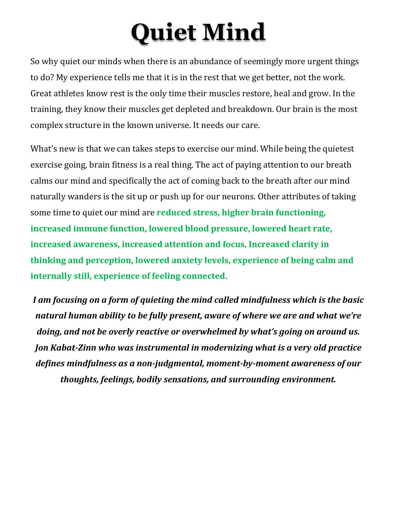## **Quiet Mind**

So why quiet our minds when there is an abundance of seemingly more urgent things to do? My experience tells me that it is in the rest that we get better, not the work. Great athletes know rest is the only time their muscles restore, heal and grow. In the training, they know their muscles get depleted and breakdown. Our brain is the most complex structure in the known universe. It needs our care.

What's new is that we can takes steps to exercise our mind. While being the quietest exercise going, brain fitness is a real thing. The act of paying attention to our breath calms our mind and specifically the act of coming back to the breath after our mind naturally wanders is the sit up or push up for our neurons. Other attributes of taking some time to quiet our mind are **reduced stress, higher brain functioning, increased immune function, lowered blood pressure, lowered heart rate, increased awareness, increased attention and focus, Increased clarity in thinking and perception, lowered anxiety levels, experience of being calm and internally still, experience of feeling connected.**

*I am focusing on a form of quieting the mind called mindfulness which is the basic natural human ability to be fully present, aware of where we are and what we're doing, and not be overly reactive or overwhelmed by what's going on around us. Jon Kabat-Zinn who was instrumental in modernizing what is a very old practice defines mindfulness as a non-judgmental, moment-by-moment awareness of our thoughts, feelings, bodily sensations, and surrounding environment.*